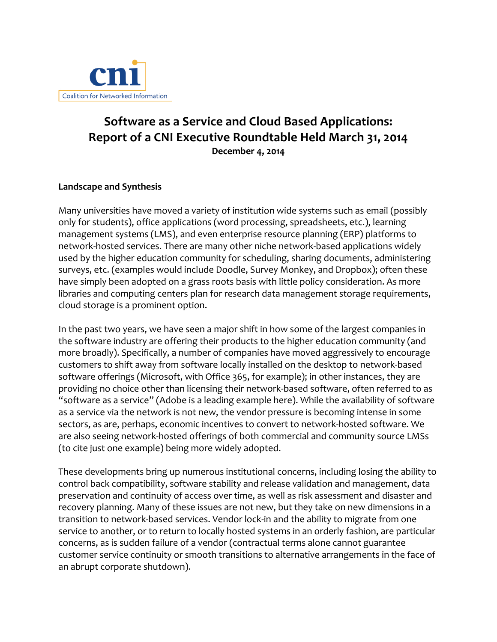

## **Software as a Service and Cloud Based Applications: Report of a CNI Executive Roundtable Held March 31, 2014 December 4, 2014**

## **Landscape and Synthesis**

Many universities have moved a variety of institution wide systems such as email (possibly only for students), office applications (word processing, spreadsheets, etc.), learning management systems (LMS), and even enterprise resource planning (ERP) platforms to network-hosted services. There are many other niche network-based applications widely used by the higher education community for scheduling, sharing documents, administering surveys, etc. (examples would include Doodle, Survey Monkey, and Dropbox); often these have simply been adopted on a grass roots basis with little policy consideration. As more libraries and computing centers plan for research data management storage requirements, cloud storage is a prominent option.

In the past two years, we have seen a major shift in how some of the largest companies in the software industry are offering their products to the higher education community (and more broadly). Specifically, a number of companies have moved aggressively to encourage customers to shift away from software locally installed on the desktop to network-based software offerings (Microsoft, with Office 365, for example); in other instances, they are providing no choice other than licensing their network-based software, often referred to as "software as a service" (Adobe is a leading example here). While the availability of software as a service via the network is not new, the vendor pressure is becoming intense in some sectors, as are, perhaps, economic incentives to convert to network-hosted software. We are also seeing network-hosted offerings of both commercial and community source LMSs (to cite just one example) being more widely adopted.

These developments bring up numerous institutional concerns, including losing the ability to control back compatibility, software stability and release validation and management, data preservation and continuity of access over time, as well as risk assessment and disaster and recovery planning. Many of these issues are not new, but they take on new dimensions in a transition to network-based services. Vendor lock-in and the ability to migrate from one service to another, or to return to locally hosted systems in an orderly fashion, are particular concerns, as is sudden failure of a vendor (contractual terms alone cannot guarantee customer service continuity or smooth transitions to alternative arrangements in the face of an abrupt corporate shutdown).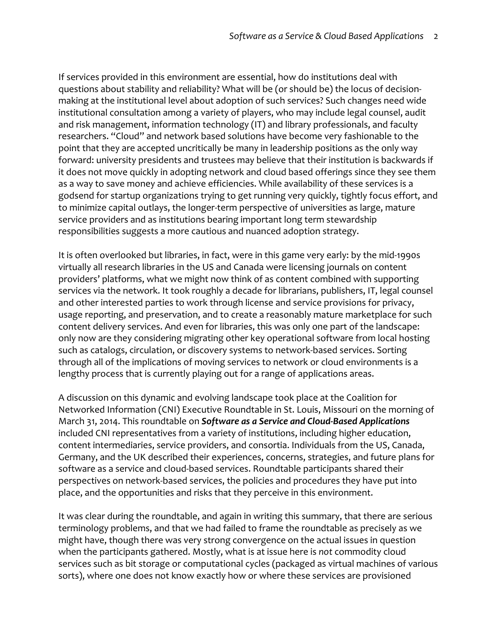If services provided in this environment are essential, how do institutions deal with questions about stability and reliability? What will be (or should be) the locus of decisionmaking at the institutional level about adoption of such services? Such changes need wide institutional consultation among a variety of players, who may include legal counsel, audit and risk management, information technology (IT) and library professionals, and faculty researchers. "Cloud" and network based solutions have become very fashionable to the point that they are accepted uncritically be many in leadership positions as the only way forward: university presidents and trustees may believe that their institution is backwards if it does not move quickly in adopting network and cloud based offerings since they see them as a way to save money and achieve efficiencies. While availability of these services is a godsend for startup organizations trying to get running very quickly, tightly focus effort, and to minimize capital outlays, the longer-term perspective of universities as large, mature service providers and as institutions bearing important long term stewardship responsibilities suggests a more cautious and nuanced adoption strategy.

It is often overlooked but libraries, in fact, were in this game very early: by the mid-1990s virtually all research libraries in the US and Canada were licensing journals on content providers' platforms, what we might now think of as content combined with supporting services via the network. It took roughly a decade for librarians, publishers, IT, legal counsel and other interested parties to work through license and service provisions for privacy, usage reporting, and preservation, and to create a reasonably mature marketplace for such content delivery services. And even for libraries, this was only one part of the landscape: only now are they considering migrating other key operational software from local hosting such as catalogs, circulation, or discovery systems to network-based services. Sorting through all of the implications of moving services to network or cloud environments is a lengthy process that is currently playing out for a range of applications areas.

A discussion on this dynamic and evolving landscape took place at the Coalition for Networked Information (CNI) Executive Roundtable in St. Louis, Missouri on the morning of March 31, 2014. This roundtable on **Software as a Service and Cloud-Based Applications** included CNI representatives from a variety of institutions, including higher education, content intermediaries, service providers, and consortia. Individuals from the US, Canada, Germany, and the UK described their experiences, concerns, strategies, and future plans for software as a service and cloud-based services. Roundtable participants shared their perspectives on network-based services, the policies and procedures they have put into place, and the opportunities and risks that they perceive in this environment.

It was clear during the roundtable, and again in writing this summary, that there are serious terminology problems, and that we had failed to frame the roundtable as precisely as we might have, though there was very strong convergence on the actual issues in question when the participants gathered. Mostly, what is at issue here is *not* commodity cloud services such as bit storage or computational cycles (packaged as virtual machines of various sorts), where one does not know exactly how or where these services are provisioned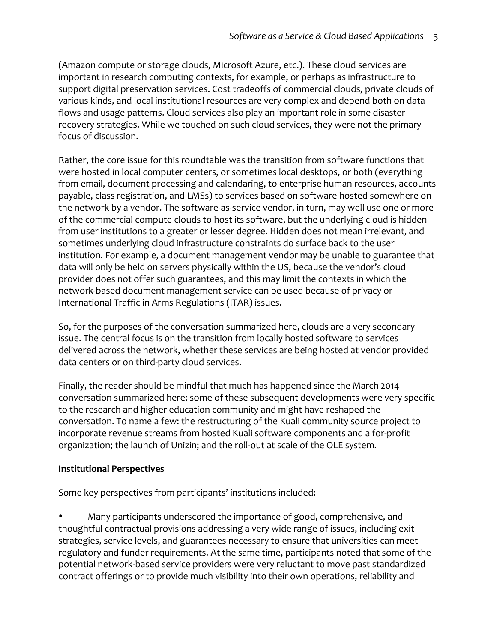(Amazon compute or storage clouds, Microsoft Azure, etc.). These cloud services are important in research computing contexts, for example, or perhaps as infrastructure to support digital preservation services. Cost tradeoffs of commercial clouds, private clouds of various kinds, and local institutional resources are very complex and depend both on data flows and usage patterns. Cloud services also play an important role in some disaster recovery strategies. While we touched on such cloud services, they were not the primary focus of discussion.

Rather, the core issue for this roundtable was the transition from software functions that were hosted in local computer centers, or sometimes local desktops, or both (everything from email, document processing and calendaring, to enterprise human resources, accounts payable, class registration, and LMSs) to services based on software hosted somewhere on the network by a vendor. The software-as-service vendor, in turn, may well use one or more of the commercial compute clouds to host its software, but the underlying cloud is hidden from user institutions to a greater or lesser degree. Hidden does not mean irrelevant, and sometimes underlying cloud infrastructure constraints do surface back to the user institution. For example, a document management vendor may be unable to guarantee that data will only be held on servers physically within the US, because the vendor's cloud provider does not offer such guarantees, and this may limit the contexts in which the network-based document management service can be used because of privacy or International Traffic in Arms Regulations (ITAR) issues.

So, for the purposes of the conversation summarized here, clouds are a very secondary issue. The central focus is on the transition from locally hosted software to services delivered across the network, whether these services are being hosted at vendor provided data centers or on third-party cloud services.

Finally, the reader should be mindful that much has happened since the March 2014 conversation summarized here; some of these subsequent developments were very specific to the research and higher education community and might have reshaped the conversation. To name a few: the restructuring of the Kuali community source project to incorporate revenue streams from hosted Kuali software components and a for-profit organization; the launch of Unizin; and the roll-out at scale of the OLE system.

## **Institutional!Perspectives**

Some key perspectives from participants' institutions included:

Many participants underscored the importance of good, comprehensive, and thoughtful contractual provisions addressing a very wide range of issues, including exit strategies, service levels, and guarantees necessary to ensure that universities can meet regulatory and funder requirements. At the same time, participants noted that some of the potential network-based service providers were very reluctant to move past standardized contract offerings or to provide much visibility into their own operations, reliability and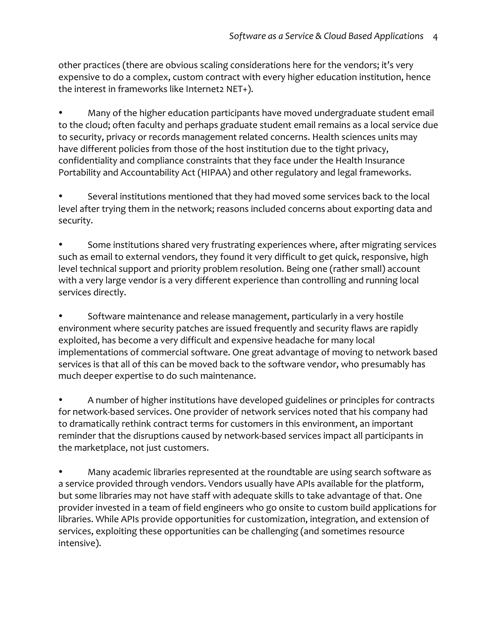other practices (there are obvious scaling considerations here for the vendors; it's very expensive to do a complex, custom contract with every higher education institution, hence the interest in frameworks like Internet2 NET+).

Many of the higher education participants have moved undergraduate student email to the cloud; often faculty and perhaps graduate student email remains as a local service due to security, privacy or records management related concerns. Health sciences units may have different policies from those of the host institution due to the tight privacy, confidentiality and compliance constraints that they face under the Health Insurance Portability and Accountability Act (HIPAA) and other regulatory and legal frameworks.

Several institutions mentioned that they had moved some services back to the local level after trying them in the network; reasons included concerns about exporting data and security.

Some institutions shared very frustrating experiences where, after migrating services such as email to external vendors, they found it very difficult to get quick, responsive, high level technical support and priority problem resolution. Being one (rather small) account with a very large vendor is a very different experience than controlling and running local services directly.

Software maintenance and release management, particularly in a very hostile environment where security patches are issued frequently and security flaws are rapidly exploited, has become a very difficult and expensive headache for many local implementations of commercial software. One great advantage of moving to network based services is that all of this can be moved back to the software vendor, who presumably has much deeper expertise to do such maintenance.

A number of higher institutions have developed guidelines or principles for contracts for network-based services. One provider of network services noted that his company had to dramatically rethink contract terms for customers in this environment, an important reminder that the disruptions caused by network-based services impact all participants in the marketplace, not just customers.

Many academic libraries represented at the roundtable are using search software as a service provided through vendors. Vendors usually have APIs available for the platform, but some libraries may not have staff with adequate skills to take advantage of that. One provider invested in a team of field engineers who go onsite to custom build applications for libraries. While APIs provide opportunities for customization, integration, and extension of services, exploiting these opportunities can be challenging (and sometimes resource intensive).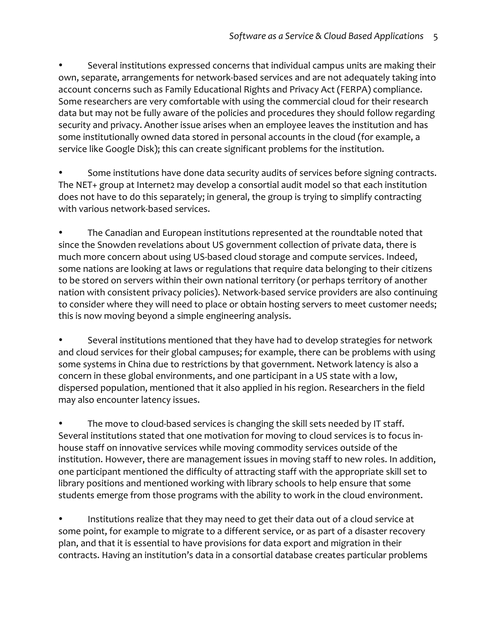Several institutions expressed concerns that individual campus units are making their own, separate, arrangements for network-based services and are not adequately taking into account concerns such as Family Educational Rights and Privacy Act (FERPA) compliance. Some researchers are very comfortable with using the commercial cloud for their research data but may not be fully aware of the policies and procedures they should follow regarding security and privacy. Another issue arises when an employee leaves the institution and has some institutionally owned data stored in personal accounts in the cloud (for example, a service like Google Disk); this can create significant problems for the institution.

Some institutions have done data security audits of services before signing contracts. The NET+ group at Internet2 may develop a consortial audit model so that each institution does not have to do this separately; in general, the group is trying to simplify contracting with various network-based services.

The Canadian and European institutions represented at the roundtable noted that since the Snowden revelations about US government collection of private data, there is much more concern about using US-based cloud storage and compute services. Indeed, some nations are looking at laws or regulations that require data belonging to their citizens to be stored on servers within their own national territory (or perhaps territory of another nation with consistent privacy policies). Network-based service providers are also continuing to consider where they will need to place or obtain hosting servers to meet customer needs; this is now moving beyond a simple engineering analysis.

Several institutions mentioned that they have had to develop strategies for network and cloud services for their global campuses; for example, there can be problems with using some systems in China due to restrictions by that government. Network latency is also a concern in these global environments, and one participant in a US state with a low, dispersed population, mentioned that it also applied in his region. Researchers in the field may also encounter latency issues.

The move to cloud-based services is changing the skill sets needed by IT staff. Several institutions stated that one motivation for moving to cloud services is to focus inhouse staff on innovative services while moving commodity services outside of the institution. However, there are management issues in moving staff to new roles. In addition, one participant mentioned the difficulty of attracting staff with the appropriate skill set to library positions and mentioned working with library schools to help ensure that some students emerge from those programs with the ability to work in the cloud environment.

Institutions realize that they may need to get their data out of a cloud service at some point, for example to migrate to a different service, or as part of a disaster recovery plan, and that it is essential to have provisions for data export and migration in their contracts. Having an institution's data in a consortial database creates particular problems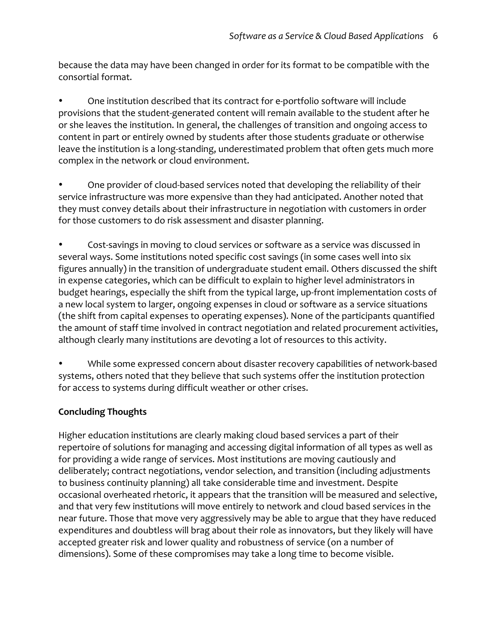because the data may have been changed in order for its format to be compatible with the consortial format.

One institution described that its contract for e-portfolio software will include provisions that the student-generated content will remain available to the student after he or she leaves the institution. In general, the challenges of transition and ongoing access to content in part or entirely owned by students after those students graduate or otherwise leave the institution is a long-standing, underestimated problem that often gets much more complex in the network or cloud environment.

One provider of cloud-based services noted that developing the reliability of their service infrastructure was more expensive than they had anticipated. Another noted that they must convey details about their infrastructure in negotiation with customers in order for those customers to do risk assessment and disaster planning.

Cost-savings in moving to cloud services or software as a service was discussed in several ways. Some institutions noted specific cost savings (in some cases well into six figures annually) in the transition of undergraduate student email. Others discussed the shift in expense categories, which can be difficult to explain to higher level administrators in budget hearings, especially the shift from the typical large, up-front implementation costs of a new local system to larger, ongoing expenses in cloud or software as a service situations (the shift from capital expenses to operating expenses). None of the participants quantified the amount of staff time involved in contract negotiation and related procurement activities, although clearly many institutions are devoting a lot of resources to this activity.

While some expressed concern about disaster recovery capabilities of network-based systems, others noted that they believe that such systems offer the institution protection for access to systems during difficult weather or other crises.

## **Concluding!Thoughts**

Higher education institutions are clearly making cloud based services a part of their repertoire of solutions for managing and accessing digital information of all types as well as for providing a wide range of services. Most institutions are moving cautiously and deliberately; contract negotiations, vendor selection, and transition (including adjustments to business continuity planning) all take considerable time and investment. Despite occasional overheated rhetoric, it appears that the transition will be measured and selective, and that very few institutions will move entirely to network and cloud based services in the near future. Those that move very aggressively may be able to argue that they have reduced expenditures and doubtless will brag about their role as innovators, but they likely will have accepted greater risk and lower quality and robustness of service (on a number of dimensions). Some of these compromises may take a long time to become visible.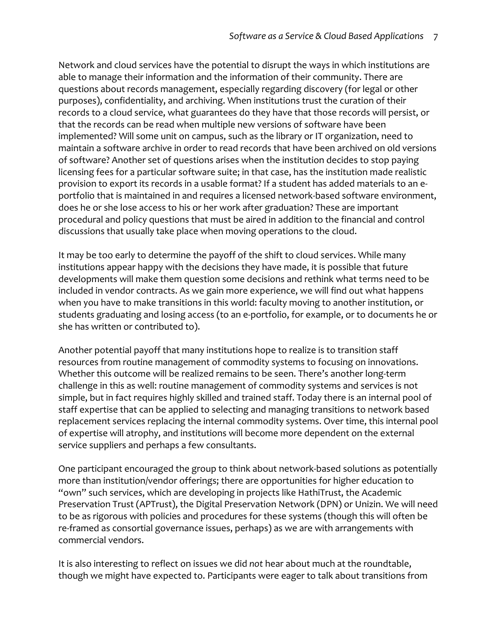Network and cloud services have the potential to disrupt the ways in which institutions are able to manage their information and the information of their community. There are questions about records management, especially regarding discovery (for legal or other purposes), confidentiality, and archiving. When institutions trust the curation of their records to a cloud service, what guarantees do they have that those records will persist, or that the records can be read when multiple new versions of software have been implemented? Will some unit on campus, such as the library or IT organization, need to maintain a software archive in order to read records that have been archived on old versions of software? Another set of questions arises when the institution decides to stop paying licensing fees for a particular software suite; in that case, has the institution made realistic provision to export its records in a usable format? If a student has added materials to an eportfolio that is maintained in and requires a licensed network-based software environment, does he or she lose access to his or her work after graduation? These are important procedural and policy questions that must be aired in addition to the financial and control discussions that usually take place when moving operations to the cloud.

It may be too early to determine the payoff of the shift to cloud services. While many institutions appear happy with the decisions they have made, it is possible that future developments will make them question some decisions and rethink what terms need to be included in vendor contracts. As we gain more experience, we will find out what happens when you have to make transitions in this world: faculty moving to another institution, or students graduating and losing access (to an e-portfolio, for example, or to documents he or she has written or contributed to).

Another potential payoff that many institutions hope to realize is to transition staff resources from routine management of commodity systems to focusing on innovations. Whether this outcome will be realized remains to be seen. There's another long-term challenge in this as well: routine management of commodity systems and services is not simple, but in fact requires highly skilled and trained staff. Today there is an internal pool of staff expertise that can be applied to selecting and managing transitions to network based replacement services replacing the internal commodity systems. Over time, this internal pool of expertise will atrophy, and institutions will become more dependent on the external service suppliers and perhaps a few consultants.

One participant encouraged the group to think about network-based solutions as potentially more than institution/vendor offerings; there are opportunities for higher education to "own" such services, which are developing in projects like HathiTrust, the Academic Preservation Trust (APTrust), the Digital Preservation Network (DPN) or Unizin. We will need to be as rigorous with policies and procedures for these systems (though this will often be re-framed as consortial governance issues, perhaps) as we are with arrangements with commercial vendors.

It is also interesting to reflect on issues we did not hear about much at the roundtable, though we might have expected to. Participants were eager to talk about transitions from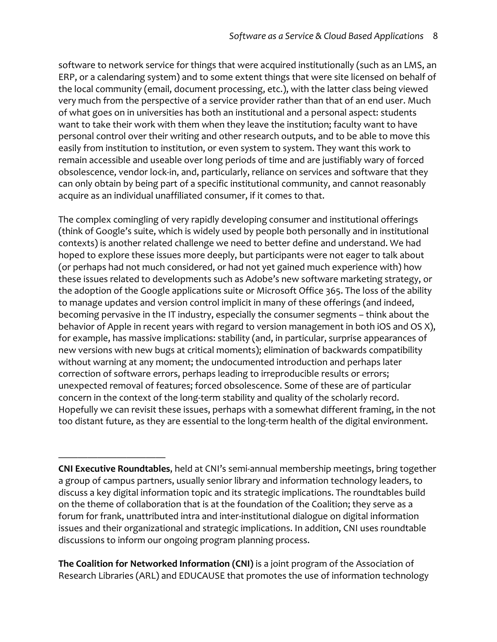software to network service for things that were acquired institutionally (such as an LMS, an ERP, or a calendaring system) and to some extent things that were site licensed on behalf of the local community (email, document processing, etc.), with the latter class being viewed very much from the perspective of a service provider rather than that of an end user. Much of what goes on in universities has both an institutional and a personal aspect: students want to take their work with them when they leave the institution; faculty want to have personal control over their writing and other research outputs, and to be able to move this easily from institution to institution, or even system to system. They want this work to remain accessible and useable over long periods of time and are justifiably wary of forced obsolescence, vendor lock-in, and, particularly, reliance on services and software that they can only obtain by being part of a specific institutional community, and cannot reasonably acquire as an individual unaffiliated consumer, if it comes to that.

The complex comingling of very rapidly developing consumer and institutional offerings (think of Google's suite, which is widely used by people both personally and in institutional contexts) is another related challenge we need to better define and understand. We had hoped to explore these issues more deeply, but participants were not eager to talk about (or perhaps had not much considered, or had not yet gained much experience with) how these issues related to developments such as Adobe's new software marketing strategy, or the adoption of the Google applications suite or Microsoft Office 365. The loss of the ability to manage updates and version control implicit in many of these offerings (and indeed, becoming pervasive in the IT industry, especially the consumer segments – think about the behavior of Apple in recent years with regard to version management in both iOS and OS X), for example, has massive implications: stability (and, in particular, surprise appearances of new versions with new bugs at critical moments); elimination of backwards compatibility without warning at any moment; the undocumented introduction and perhaps later correction of software errors, perhaps leading to irreproducible results or errors; unexpected removal of features; forced obsolescence. Some of these are of particular concern in the context of the long-term stability and quality of the scholarly record. Hopefully we can revisit these issues, perhaps with a somewhat different framing, in the not too distant future, as they are essential to the long-term health of the digital environment.

————————————————————

**The Coalition for Networked Information (CNI)** is a joint program of the Association of Research Libraries (ARL) and EDUCAUSE that promotes the use of information technology

**CNI Executive Roundtables, held at CNI's semi-annual membership meetings, bring together** a group of campus partners, usually senior library and information technology leaders, to discuss a key digital information topic and its strategic implications. The roundtables build on the theme of collaboration that is at the foundation of the Coalition; they serve as a forum for frank, unattributed intra and inter-institutional dialogue on digital information issues and their organizational and strategic implications. In addition, CNI uses roundtable discussions to inform our ongoing program planning process.